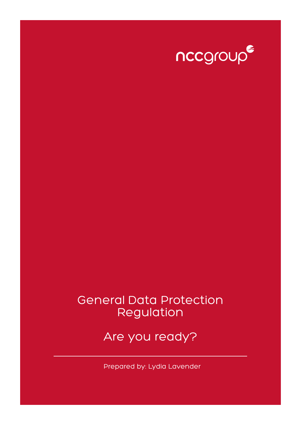

## General Data Protection Regulation

Are you ready?

Prepared by: Lydia Lavender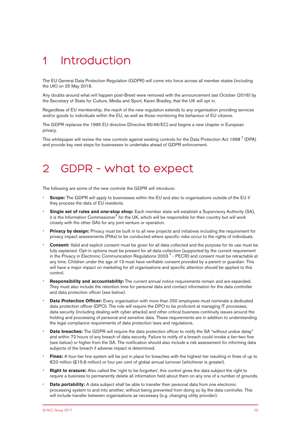# 1 Introduction

The EU General Data Protection Regulation (GDPR) will come into force across all member states (including the UK) on 25 May 2018.

Any doubts around what will happen post-Brexit were removed with the announcement last October (2016) by the Secretary of State for Culture, Media and Sport, Karen Bradley, that the UK will opt in.

Regardless of EU membership, the reach of the new regulation extends to any organisation providing services and/or goods to individuals within the EU, as well as those monitoring the behaviour of EU citizens.

The GDPR replaces the 1995 EU directive (Directive 95/46/EC) and begins a new chapter in European privacy.

This whitepaper will review the new controls against existing controls for the Data Protection Act 1998  $^2$  (DPA) and provide key next steps for businesses to undertake ahead of GDPR enforcement.

## 2 GDPR – what to expect

The following are some of the new controls the GDPR will introduce:

- **Scope:** The GDPR will apply to businesses within the EU and also to organisations outside of the EU if they process the data of EU residents.
- **Single set of rules and one-stop shop:** Each member state will establish a Supervisory Authority (SA), it is the Information Commissioner<sup>3</sup> for the UK, which will be responsible for their country but will work closely with the other SA's for any joint venture or operation.
- **Privacy by design:** Privacy must be built in to all new projects and initiatives including the requirement for privacy impact assessments (PIAs) to be conducted where specific risks occur to the rights of individuals.
- **Consent:** Valid and explicit consent must be given for all data collected and the purpose for its use must be fully explained. Opt-in options must be present for all data collection (supported by the current requirement in the Privacy in Electronic Communication Regulations 2003<sup>4</sup> - PECR) and consent must be retractable at any time. Children under the age of 13 must have verifiable consent provided by a parent or guardian. This will have a major impact on marketing for all organisations and specific attention should be applied to this control.
- **Responsibility and accountability:** The current annual notice requirements remain and are expanded. They must also include the retention time for personal data and contact information for the data controller and data protection officer (see below).
- **Data Protection Officer:** Every organisation with more than 250 employees must nominate a dedicated data protection officer (DPO). The role will require the DPO to be proficient at managing IT processes, data security (including dealing with cyber attacks) and other critical business continuity issues around the holding and processing of personal and sensitive data. These requirements are in addition to understanding the legal compliance requirements of data protection laws and regulations.
- **Data breaches:** The GDPR will require the data protection officer to notify the SA "without undue delay" and within 72 hours of any breach of data security. Failure to notify of a breach could invoke a tier-two fine (see below) or higher from the SA. The notification should also include a risk assessment for informing data subjects of the breach if adverse impact is determined.
- **Fines:** A four-tier fine system will be put in place for breaches with the highest tier resulting in fines of up to €20 million (£15.8 million) or four per cent of global annual turnover (whichever is greater).
- **Right to erasure:** Also called the 'right to be forgotten', this control gives the data subject the right to require a business to permanently delete all information held about them on any one of a number of grounds.
- **Data portability:** A data subject shall be able to transfer their personal data from one electronic processing system to and into another, without being prevented from doing so by the data controller. This will include transfer between organisations as necessary (e.g. changing utility provider).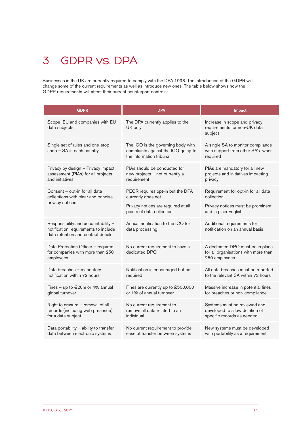# 3 GDPR vs. DPA

Businesses in the UK are currently required to comply with the DPA 1998. The introduction of the GDPR will change some of the current requirements as well as introduce new ones. The table below shows how the GDPR requirements will affect their current counterpart controls:

| <b>GDPR</b>                                                                                                       | <b>DPA</b>                                                                                            | Impact                                                                                       |
|-------------------------------------------------------------------------------------------------------------------|-------------------------------------------------------------------------------------------------------|----------------------------------------------------------------------------------------------|
| Scope: EU and companies with EU<br>data subjects                                                                  | The DPA currently applies to the<br>UK only                                                           | Increase in scope and privacy<br>requirements for non-UK data<br>subject                     |
| Single set of rules and one-stop<br>shop - SA in each country                                                     | The ICO is the governing body with<br>complaints against the ICO going to<br>the information tribunal | A single SA to monitor compliance<br>with support from other SA's when<br>required           |
| Privacy by design - Privacy impact<br>assessment (PIAs) for all projects<br>and initiatives                       | PIAs should be conducted for<br>new projects - not currently a<br>requirement                         | PIAs are mandatory for all new<br>projects and initiatives impacting<br>privacy              |
| Consent - opt-in for all data<br>collections with clear and concise<br>privacy notices                            | PECR requires opt-in but the DPA<br>currently does not                                                | Requirement for opt-in for all data<br>collection                                            |
|                                                                                                                   | Privacy notices are required at all<br>points of data collection                                      | Privacy notices must be prominent<br>and in plain English                                    |
| Responsibility and accountability -<br>notification requirements to include<br>data retention and contact details | Annual notification to the ICO for<br>data processing                                                 | Additional requirements for<br>notification on an annual basis                               |
| Data Protection Officer - required<br>for companies with more than 250<br>employees                               | No current requirement to have a<br>dedicated DPO                                                     | A dedicated DPO must be in place<br>for all organisations with more than<br>250 employees    |
| Data breaches - mandatory<br>notification within 72 hours                                                         | Notification is encouraged but not<br>required                                                        | All data breaches must be reported<br>to the relevant SA within 72 hours                     |
| Fines - up to $€20m$ or 4% annual<br>global turnover                                                              | Fines are currently up to £500,000<br>or 1% of annual turnover                                        | Massive increase in potential fines<br>for breaches or non-compliance                        |
| Right to erasure $-$ removal of all<br>records (including web presence)<br>for a data subject                     | No current requirement to<br>remove all data related to an<br>individual                              | Systems must be reviewed and<br>developed to allow deletion of<br>specific records as needed |
| Data portability - ability to transfer<br>data between electronic systems                                         | No current requirement to provide<br>ease of transfer between systems                                 | New systems must be developed<br>with portability as a requirement                           |